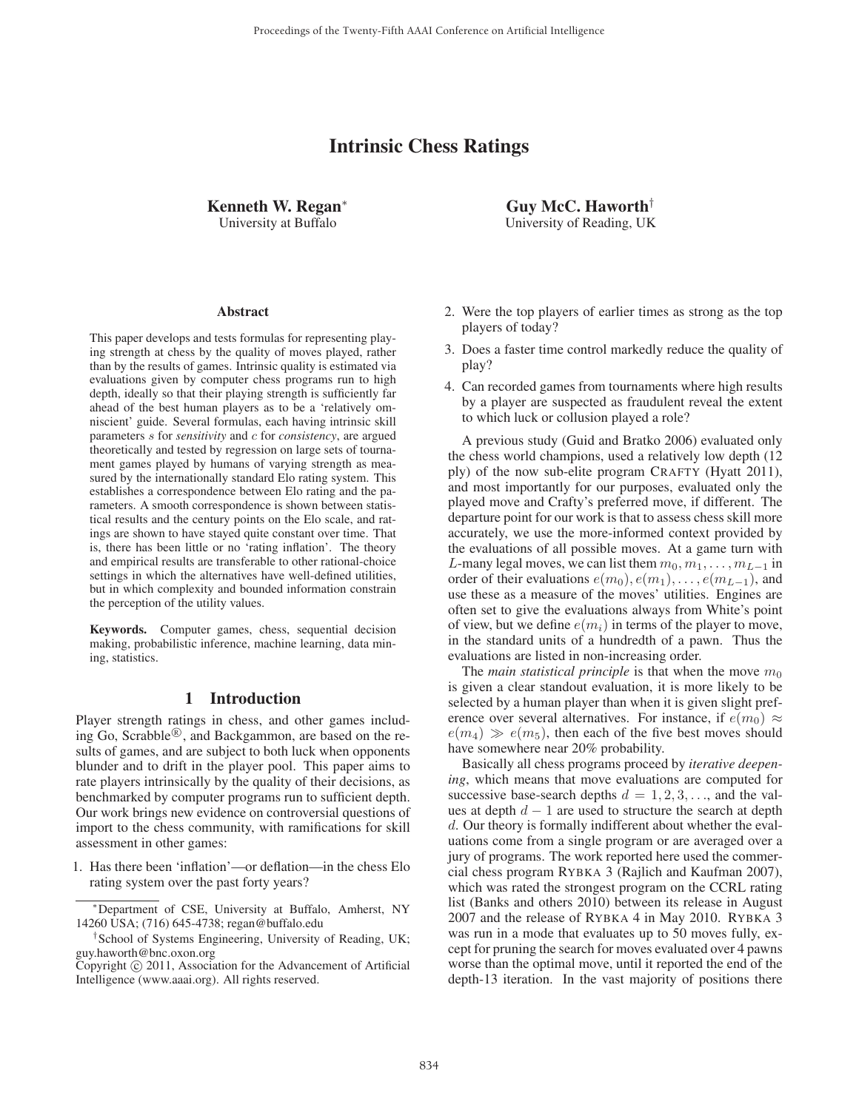# Intrinsic Chess Ratings

Kenneth W. Regan<sup>∗</sup> University at Buffalo

#### **Abstract**

This paper develops and tests formulas for representing playing strength at chess by the quality of moves played, rather than by the results of games. Intrinsic quality is estimated via evaluations given by computer chess programs run to high depth, ideally so that their playing strength is sufficiently far ahead of the best human players as to be a 'relatively omniscient' guide. Several formulas, each having intrinsic skill parameters s for *sensitivity* and c for *consistency*, are argued theoretically and tested by regression on large sets of tournament games played by humans of varying strength as measured by the internationally standard Elo rating system. This establishes a correspondence between Elo rating and the parameters. A smooth correspondence is shown between statistical results and the century points on the Elo scale, and ratings are shown to have stayed quite constant over time. That is, there has been little or no 'rating inflation'. The theory and empirical results are transferable to other rational-choice settings in which the alternatives have well-defined utilities, but in which complexity and bounded information constrain the perception of the utility values.

Keywords. Computer games, chess, sequential decision making, probabilistic inference, machine learning, data mining, statistics.

#### 1 Introduction

Player strength ratings in chess, and other games including Go, Scrabble<sup>®</sup>, and Backgammon, are based on the results of games, and are subject to both luck when opponents blunder and to drift in the player pool. This paper aims to rate players intrinsically by the quality of their decisions, as benchmarked by computer programs run to sufficient depth. Our work brings new evidence on controversial questions of import to the chess community, with ramifications for skill assessment in other games:

1. Has there been 'inflation'—or deflation—in the chess Elo rating system over the past forty years?

Guy McC. Haworth† University of Reading, UK

- 2. Were the top players of earlier times as strong as the top players of today?
- 3. Does a faster time control markedly reduce the quality of play?
- 4. Can recorded games from tournaments where high results by a player are suspected as fraudulent reveal the extent to which luck or collusion played a role?

A previous study (Guid and Bratko 2006) evaluated only the chess world champions, used a relatively low depth (12 ply) of the now sub-elite program CRAFTY (Hyatt 2011), and most importantly for our purposes, evaluated only the played move and Crafty's preferred move, if different. The departure point for our work is that to assess chess skill more accurately, we use the more-informed context provided by the evaluations of all possible moves. At a game turn with L-many legal moves, we can list them  $m_0, m_1, \ldots, m_{L-1}$  in order of their evaluations  $e(m_0), e(m_1), \ldots, e(m_{L-1}),$  and use these as a measure of the moves' utilities. Engines are often set to give the evaluations always from White's point of view, but we define  $e(m_i)$  in terms of the player to move, in the standard units of a hundredth of a pawn. Thus the evaluations are listed in non-increasing order.

The *main statistical principle* is that when the move  $m_0$ is given a clear standout evaluation, it is more likely to be selected by a human player than when it is given slight preference over several alternatives. For instance, if  $e(m_0) \approx$  $e(m_4) \gg e(m_5)$ , then each of the five best moves should have somewhere near 20% probability.

Basically all chess programs proceed by *iterative deepening*, which means that move evaluations are computed for successive base-search depths  $d = 1, 2, 3, \ldots$ , and the values at depth  $d - 1$  are used to structure the search at depth d. Our theory is formally indifferent about whether the evaluations come from a single program or are averaged over a jury of programs. The work reported here used the commercial chess program RYBKA 3 (Rajlich and Kaufman 2007), which was rated the strongest program on the CCRL rating list (Banks and others 2010) between its release in August 2007 and the release of RYBKA 4 in May 2010. RYBKA 3 was run in a mode that evaluates up to 50 moves fully, except for pruning the search for moves evaluated over 4 pawns worse than the optimal move, until it reported the end of the depth-13 iteration. In the vast majority of positions there

<sup>∗</sup>Department of CSE, University at Buffalo, Amherst, NY 14260 USA; (716) 645-4738; regan@buffalo.edu

<sup>†</sup>School of Systems Engineering, University of Reading, UK; guy.haworth@bnc.oxon.org

Copyright  $\odot$  2011, Association for the Advancement of Artificial Intelligence (www.aaai.org). All rights reserved.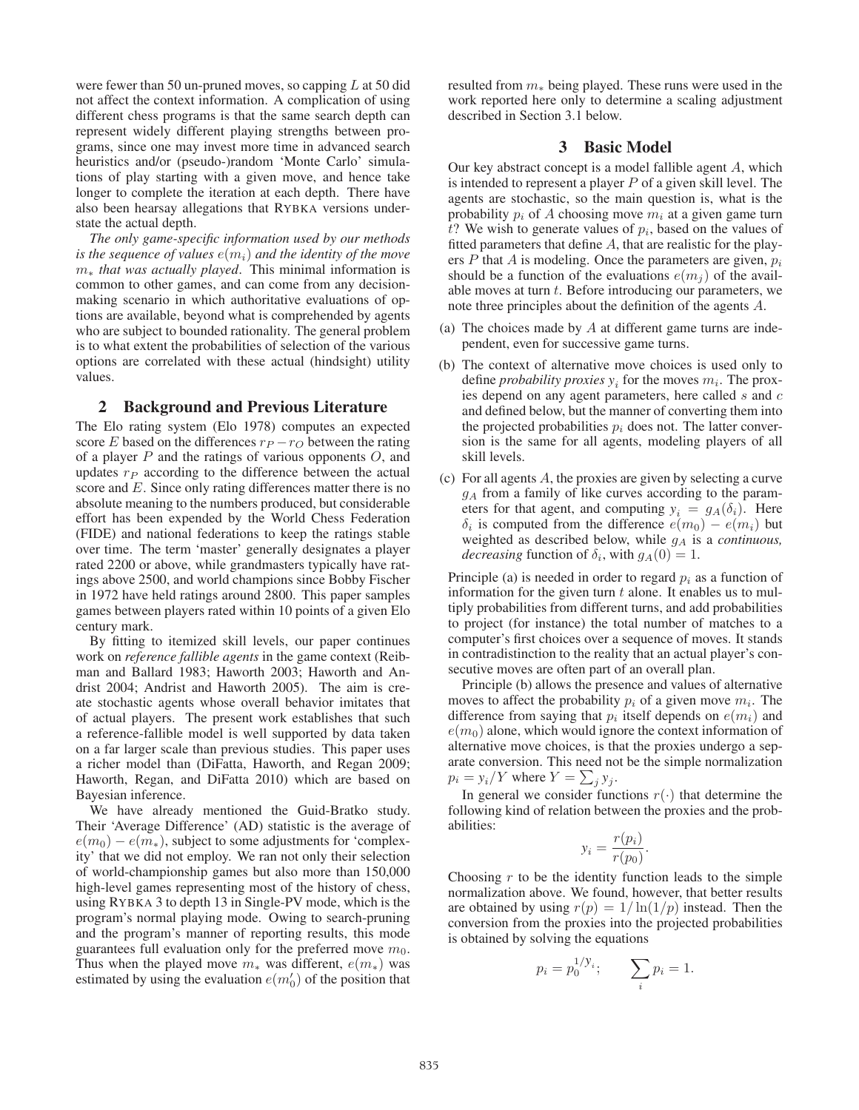were fewer than 50 un-pruned moves, so capping  $L$  at 50 did not affect the context information. A complication of using different chess programs is that the same search depth can represent widely different playing strengths between programs, since one may invest more time in advanced search heuristics and/or (pseudo-)random 'Monte Carlo' simulations of play starting with a given move, and hence take longer to complete the iteration at each depth. There have also been hearsay allegations that RYBKA versions understate the actual depth.

*The only game-specific information used by our methods is the sequence of values*  $e(m_i)$  *and the identity of the move* m<sup>∗</sup> *that was actually played*. This minimal information is common to other games, and can come from any decisionmaking scenario in which authoritative evaluations of options are available, beyond what is comprehended by agents who are subject to bounded rationality. The general problem is to what extent the probabilities of selection of the various options are correlated with these actual (hindsight) utility values.

#### 2 Background and Previous Literature

The Elo rating system (Elo 1978) computes an expected score E based on the differences  $r_P - r_O$  between the rating of a player  $P$  and the ratings of various opponents  $O$ , and updates  $r_P$  according to the difference between the actual score and E. Since only rating differences matter there is no absolute meaning to the numbers produced, but considerable effort has been expended by the World Chess Federation (FIDE) and national federations to keep the ratings stable over time. The term 'master' generally designates a player rated 2200 or above, while grandmasters typically have ratings above 2500, and world champions since Bobby Fischer in 1972 have held ratings around 2800. This paper samples games between players rated within 10 points of a given Elo century mark.

By fitting to itemized skill levels, our paper continues work on *reference fallible agents* in the game context (Reibman and Ballard 1983; Haworth 2003; Haworth and Andrist 2004; Andrist and Haworth 2005). The aim is create stochastic agents whose overall behavior imitates that of actual players. The present work establishes that such a reference-fallible model is well supported by data taken on a far larger scale than previous studies. This paper uses a richer model than (DiFatta, Haworth, and Regan 2009; Haworth, Regan, and DiFatta 2010) which are based on Bayesian inference.

We have already mentioned the Guid-Bratko study. Their 'Average Difference' (AD) statistic is the average of  $e(m_0) - e(m_*),$  subject to some adjustments for 'complexity' that we did not employ. We ran not only their selection of world-championship games but also more than 150,000 high-level games representing most of the history of chess, using RYBKA 3 to depth 13 in Single-PV mode, which is the program's normal playing mode. Owing to search-pruning and the program's manner of reporting results, this mode guarantees full evaluation only for the preferred move  $m_0$ . Thus when the played move  $m_*$  was different,  $e(m_*)$  was estimated by using the evaluation  $e(m'_0)$  of the position that

resulted from  $m<sub>*</sub>$  being played. These runs were used in the work reported here only to determine a scaling adjustment described in Section 3.1 below.

## 3 Basic Model

Our key abstract concept is a model fallible agent A, which is intended to represent a player  $P$  of a given skill level. The agents are stochastic, so the main question is, what is the probability  $p_i$  of A choosing move  $m_i$  at a given game turn t? We wish to generate values of  $p_i$ , based on the values of fitted parameters that define A, that are realistic for the players  $P$  that  $A$  is modeling. Once the parameters are given,  $p_i$ should be a function of the evaluations  $e(m_i)$  of the available moves at turn  $t$ . Before introducing our parameters, we note three principles about the definition of the agents A.

- (a) The choices made by A at different game turns are independent, even for successive game turns.
- (b) The context of alternative move choices is used only to define *probability proxies*  $y_i$  for the moves  $m_i$ . The proxies depend on any agent parameters, here called s and c and defined below, but the manner of converting them into the projected probabilities  $p_i$  does not. The latter conversion is the same for all agents, modeling players of all skill levels.
- (c) For all agents  $A$ , the proxies are given by selecting a curve  $g_A$  from a family of like curves according to the parameters for that agent, and computing  $y_i = g_A(\delta_i)$ . Here  $\delta_i$  is computed from the difference  $e(m_0) - e(m_i)$  but weighted as described below, while g<sup>A</sup> is a *continuous, decreasing* function of  $\delta_i$ , with  $g_A(0) = 1$ .

Principle (a) is needed in order to regard  $p_i$  as a function of information for the given turn  $t$  alone. It enables us to multiply probabilities from different turns, and add probabilities to project (for instance) the total number of matches to a computer's first choices over a sequence of moves. It stands in contradistinction to the reality that an actual player's consecutive moves are often part of an overall plan.

Principle (b) allows the presence and values of alternative moves to affect the probability  $p_i$  of a given move  $m_i$ . The difference from saying that  $p_i$  itself depends on  $e(m_i)$  and  $e(m_0)$  alone, which would ignore the context information of alternative move choices, is that the proxies undergo a separate conversion. This need not be the simple normalization  $p_i = y_i/Y$  where  $Y = \sum_j y_j$ .

In general we consider functions  $r(\cdot)$  that determine the following kind of relation between the proxies and the probabilities:

$$
y_i = \frac{r(p_i)}{r(p_0)}.
$$

Choosing  $r$  to be the identity function leads to the simple normalization above. We found, however, that better results are obtained by using  $r(p)=1/\ln(1/p)$  instead. Then the conversion from the proxies into the projected probabilities is obtained by solving the equations

$$
p_i = p_0^{1/y_i};
$$
  $\sum_i p_i = 1.$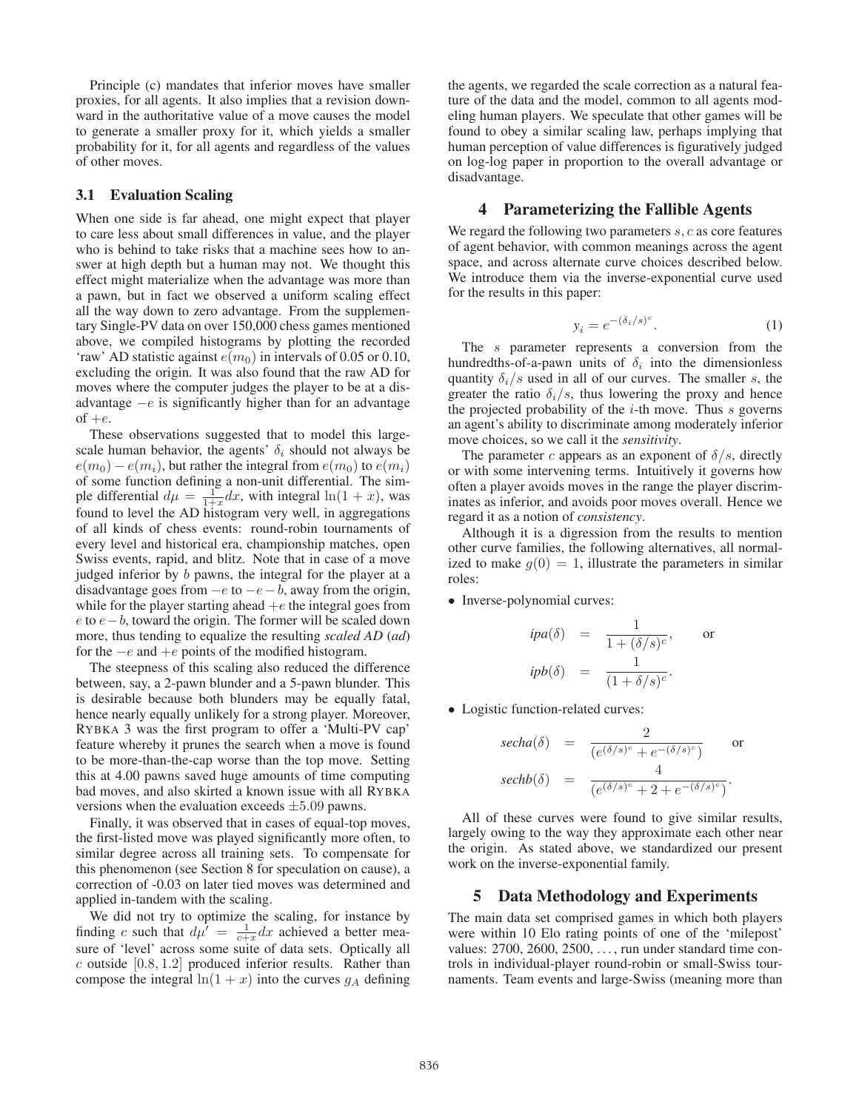Principle (c) mandates that inferior moves have smaller proxies, for all agents. It also implies that a revision downward in the authoritative value of a move causes the model to generate a smaller proxy for it, which yields a smaller probability for it, for all agents and regardless of the values of other moves.

#### 3.1 Evaluation Scaling

When one side is far ahead, one might expect that player to care less about small differences in value, and the player who is behind to take risks that a machine sees how to answer at high depth but a human may not. We thought this effect might materialize when the advantage was more than a pawn, but in fact we observed a uniform scaling effect all the way down to zero advantage. From the supplementary Single-PV data on over 150,000 chess games mentioned above, we compiled histograms by plotting the recorded 'raw' AD statistic against  $e(m_0)$  in intervals of 0.05 or 0.10, excluding the origin. It was also found that the raw AD for moves where the computer judges the player to be at a disadvantage  $-e$  is significantly higher than for an advantage of  $+e$ .

These observations suggested that to model this largescale human behavior, the agents'  $\delta_i$  should not always be  $e(m_0) - e(m_i)$ , but rather the integral from  $e(m_0)$  to  $e(m_i)$ of some function defining a non-unit differential. The simple differential  $d\mu = \frac{1}{1+x} dx$ , with integral  $\ln(1+x)$ , was found to level the AD histogram very well, in aggregations of all kinds of chess events: round-robin tournaments of every level and historical era, championship matches, open Swiss events, rapid, and blitz. Note that in case of a move judged inferior by b pawns, the integral for the player at a disadvantage goes from  $-e$  to  $-e-b$ , away from the origin, while for the player starting ahead  $+e$  the integral goes from e to  $e - b$ , toward the origin. The former will be scaled down more, thus tending to equalize the resulting *scaled AD* (*ad*) for the  $-e$  and  $+e$  points of the modified histogram.

The steepness of this scaling also reduced the difference between, say, a 2-pawn blunder and a 5-pawn blunder. This is desirable because both blunders may be equally fatal, hence nearly equally unlikely for a strong player. Moreover, RYBKA 3 was the first program to offer a 'Multi-PV cap' feature whereby it prunes the search when a move is found to be more-than-the-cap worse than the top move. Setting this at 4.00 pawns saved huge amounts of time computing bad moves, and also skirted a known issue with all RYBKA versions when the evaluation exceeds  $\pm 5.09$  pawns.

Finally, it was observed that in cases of equal-top moves, the first-listed move was played significantly more often, to similar degree across all training sets. To compensate for this phenomenon (see Section 8 for speculation on cause), a correction of -0.03 on later tied moves was determined and applied in-tandem with the scaling.

We did not try to optimize the scaling, for instance by finding c such that  $d\mu' = \frac{1}{c+x} dx$  achieved a better measure of 'level' across some suite of data sets. Optically all  $c$  outside [0.8, 1.2] produced inferior results. Rather than compose the integral  $ln(1 + x)$  into the curves  $g_A$  defining the agents, we regarded the scale correction as a natural feature of the data and the model, common to all agents modeling human players. We speculate that other games will be found to obey a similar scaling law, perhaps implying that human perception of value differences is figuratively judged on log-log paper in proportion to the overall advantage or disadvantage.

#### 4 Parameterizing the Fallible Agents

We regard the following two parameters  $s, c$  as core features of agent behavior, with common meanings across the agent space, and across alternate curve choices described below. We introduce them via the inverse-exponential curve used for the results in this paper:

$$
y_i = e^{-(\delta_i/s)^c}.
$$
 (1)

The s parameter represents a conversion from the hundredths-of-a-pawn units of  $\delta_i$  into the dimensionless quantity  $\delta_i/s$  used in all of our curves. The smaller s, the greater the ratio  $\delta_i/s$ , thus lowering the proxy and hence the projected probability of the  $i$ -th move. Thus s governs an agent's ability to discriminate among moderately inferior move choices, so we call it the *sensitivity*.

The parameter c appears as an exponent of  $\delta/s$ , directly or with some intervening terms. Intuitively it governs how often a player avoids moves in the range the player discriminates as inferior, and avoids poor moves overall. Hence we regard it as a notion of *consistency*.

Although it is a digression from the results to mention other curve families, the following alternatives, all normalized to make  $q(0) = 1$ , illustrate the parameters in similar roles:

• Inverse-polynomial curves:

$$
ipa(\delta) = \frac{1}{1 + (\delta/s)^c}, \quad \text{or}
$$
  

$$
ipb(\delta) = \frac{1}{(1 + \delta/s)^c}.
$$

• Logistic function-related curves:

$$
\begin{array}{rcl}\n\text{secha}(\delta) & = & \frac{2}{(e^{(\delta/s)^c} + e^{-(\delta/s)^c})} \qquad \text{or} \\
\text{sechb}(\delta) & = & \frac{4}{(e^{(\delta/s)^c} + 2 + e^{-(\delta/s)^c})}.\n\end{array}
$$

All of these curves were found to give similar results, largely owing to the way they approximate each other near the origin. As stated above, we standardized our present work on the inverse-exponential family.

# 5 Data Methodology and Experiments

The main data set comprised games in which both players were within 10 Elo rating points of one of the 'milepost' values: 2700, 2600, 2500, . . . , run under standard time controls in individual-player round-robin or small-Swiss tournaments. Team events and large-Swiss (meaning more than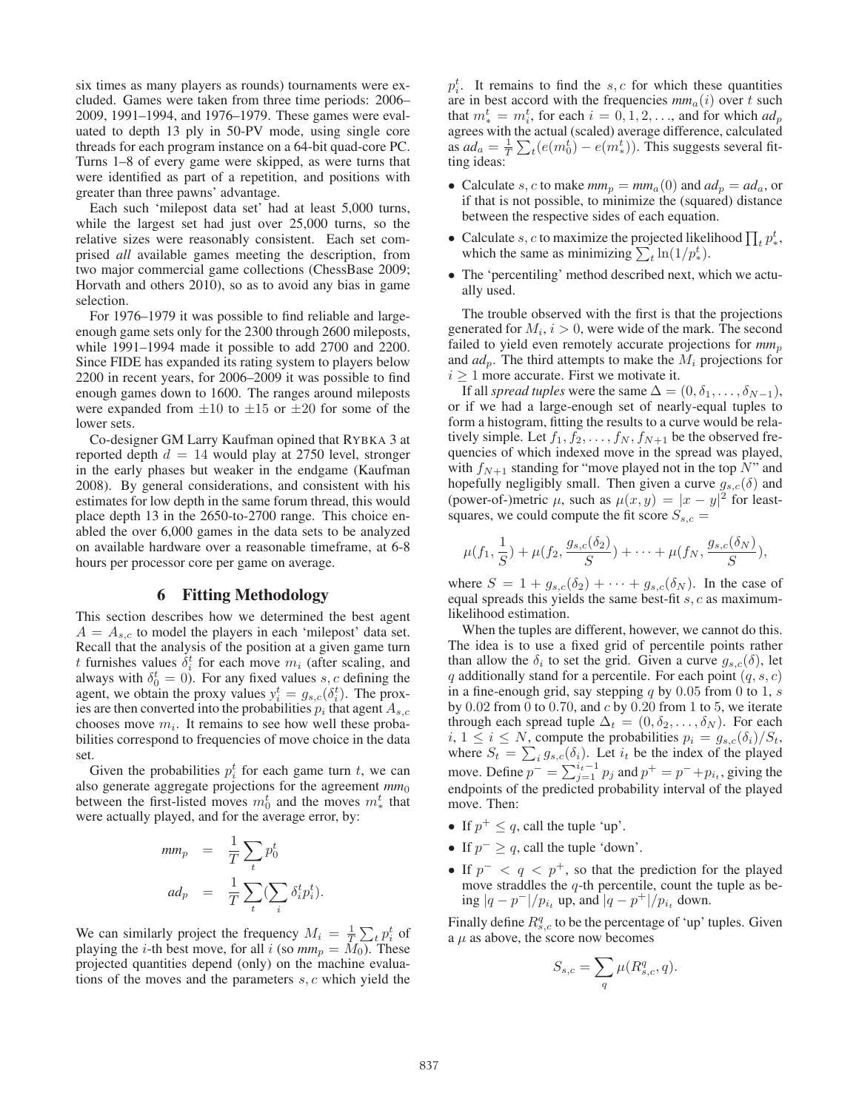six times as many players as rounds) tournaments were excluded. Games were taken from three time periods: 2006– 2009, 1991–1994, and 1976–1979. These games were evaluated to depth 13 ply in 50-PV mode, using single core threads for each program instance on a 64-bit quad-core PC. Turns 1–8 of every game were skipped, as were turns that were identified as part of a repetition, and positions with greater than three pawns' advantage.

Each such 'milepost data set' had at least 5,000 turns, while the largest set had just over 25,000 turns, so the relative sizes were reasonably consistent. Each set comprised *all* available games meeting the description, from two major commercial game collections (ChessBase 2009; Horvath and others 2010), so as to avoid any bias in game selection.

For 1976–1979 it was possible to find reliable and largeenough game sets only for the 2300 through 2600 mileposts, while 1991–1994 made it possible to add 2700 and 2200. Since FIDE has expanded its rating system to players below 2200 in recent years, for 2006–2009 it was possible to find enough games down to 1600. The ranges around mileposts were expanded from  $\pm 10$  to  $\pm 15$  or  $\pm 20$  for some of the lower sets.

Co-designer GM Larry Kaufman opined that RYBKA 3 at reported depth  $d = 14$  would play at 2750 level, stronger in the early phases but weaker in the endgame (Kaufman 2008). By general considerations, and consistent with his estimates for low depth in the same forum thread, this would place depth 13 in the 2650-to-2700 range. This choice enabled the over 6,000 games in the data sets to be analyzed on available hardware over a reasonable timeframe, at 6-8 hours per processor core per game on average.

#### 6 Fitting Methodology

This section describes how we determined the best agent  $A = A_{s,c}$  to model the players in each 'milepost' data set. Recall that the analysis of the position at a given game turn t furnishes values  $\delta_i^t$  for each move  $m_i$  (after scaling, and always with  $\delta_0^t = 0$ ). For any fixed values s, c defining the agent, we obtain the proxy values  $y_i^t = g_{s,c}(\delta_i^t)$ . The proxies are then converted into the probabilities  $p_i$  that agent  $A_{s,c}$ chooses move  $m_i$ . It remains to see how well these probabilities correspond to frequencies of move choice in the data set.

Given the probabilities  $p_i^t$  for each game turn t, we can also generate aggregate projections for the agreement  $mm_0$ between the first-listed moves  $m_0^t$  and the moves  $m_*^t$  that were actually played, and for the average error, by:

$$
mm_p = \frac{1}{T} \sum_t p_0^t
$$
  

$$
ad_p = \frac{1}{T} \sum_t (\sum_i \delta_i^t p_i^t).
$$

We can similarly project the frequency  $M_i = \frac{1}{T} \sum_t p_i^t$  of playing the *i*-th best move, for all *i* (so  $mm_p = M_0$ ). These projected quantities depend (only) on the machine evaluations of the moves and the parameters  $s, c$  which yield the

 $p_i^t$ . It remains to find the s, c for which these quantities are in best accord with the frequencies  $mm_a(i)$  over t such that  $m^t_* = m^t_i$ , for each  $i = 0, 1, 2, \ldots$ , and for which  $ad_p$ agrees with the actual (scaled) average difference, calculated as  $ad_a = \frac{1}{T} \sum_t (e(m_0^t) - e(m_*^t))$ . This suggests several fitting ideas:

- Calculate s, c to make  $mm_p = mm_a(0)$  and  $ad_p = ad_a$ , or if that is not possible, to minimize the (squared) distance between the respective sides of each equation.
- Calculate s, c to maximize the projected likelihood  $\prod_t p^t_*$ , which the same as minimizing  $\sum_{t}^{\infty} \ln(1/p_{*}^{t})$ .
- The 'percentiling' method described next, which we actually used.

The trouble observed with the first is that the projections generated for  $M_i$ ,  $i > 0$ , were wide of the mark. The second failed to yield even remotely accurate projections for  $mm_p$ and  $ad_p$ . The third attempts to make the  $M_i$  projections for  $i \geq 1$  more accurate. First we motivate it.

If all *spread tuples* were the same  $\Delta = (0, \delta_1, \ldots, \delta_{N-1}),$ or if we had a large-enough set of nearly-equal tuples to form a histogram, fitting the results to a curve would be relatively simple. Let  $f_1, f_2, \ldots, f_N, f_{N+1}$  be the observed frequencies of which indexed move in the spread was played, with  $f_{N+1}$  standing for "move played not in the top N" and hopefully negligibly small. Then given a curve  $g_{s,c}(\delta)$  and (power-of-)metric  $\mu$ , such as  $\mu(x, y) = |x - y|^2$  for leastsquares, we could compute the fit score  $S_{s,c}$  =

$$
\mu(f_1, \frac{1}{S}) + \mu(f_2, \frac{g_{s,c}(\delta_2)}{S}) + \cdots + \mu(f_N, \frac{g_{s,c}(\delta_N)}{S}),
$$

where  $S = 1 + g_{s,c}(\delta_2) + \cdots + g_{s,c}(\delta_N)$ . In the case of equal spreads this yields the same best-fit  $s, c$  as maximumlikelihood estimation.

When the tuples are different, however, we cannot do this. The idea is to use a fixed grid of percentile points rather than allow the  $\delta_i$  to set the grid. Given a curve  $g_{s,c}(\delta)$ , let q additionally stand for a percentile. For each point  $(q, s, c)$ in a fine-enough grid, say stepping  $q$  by 0.05 from 0 to 1,  $s$ by  $0.02$  from 0 to 0.70, and c by  $0.20$  from 1 to 5, we iterate through each spread tuple  $\Delta_t = (0, \delta_2, \dots, \delta_N)$ . For each  $i, 1 \leq i \leq N$ , compute the probabilities  $p_i = g_{s,c}(\delta_i)/S_t$ , where  $S_t = \sum_i g_{s,c}(\delta_i)$ . Let  $i_t$  be the index of the played move. Define  $p^- = \sum_{j=1}^{i_t-1} p_j$  and  $p^+ = p^- + p_{i_t}$ , giving the endpoints of the predicted probability interval of the played move. Then:

- If  $p^+ \leq q$ , call the tuple 'up'.
- If  $p^- \geq q$ , call the tuple 'down'.
- If  $p^{-} < q < p^{+}$ , so that the prediction for the played move straddles the  $q$ -th percentile, count the tuple as being  $|q - p^{-}|/p_{i_t}$  up, and  $|q - p^{+}|/p_{i_t}$  down.

Finally define  $R_{s,c}^q$  to be the percentage of 'up' tuples. Given  $a \mu$  as above, the score now becomes

$$
S_{s,c} = \sum_{q} \mu(R_{s,c}^q, q).
$$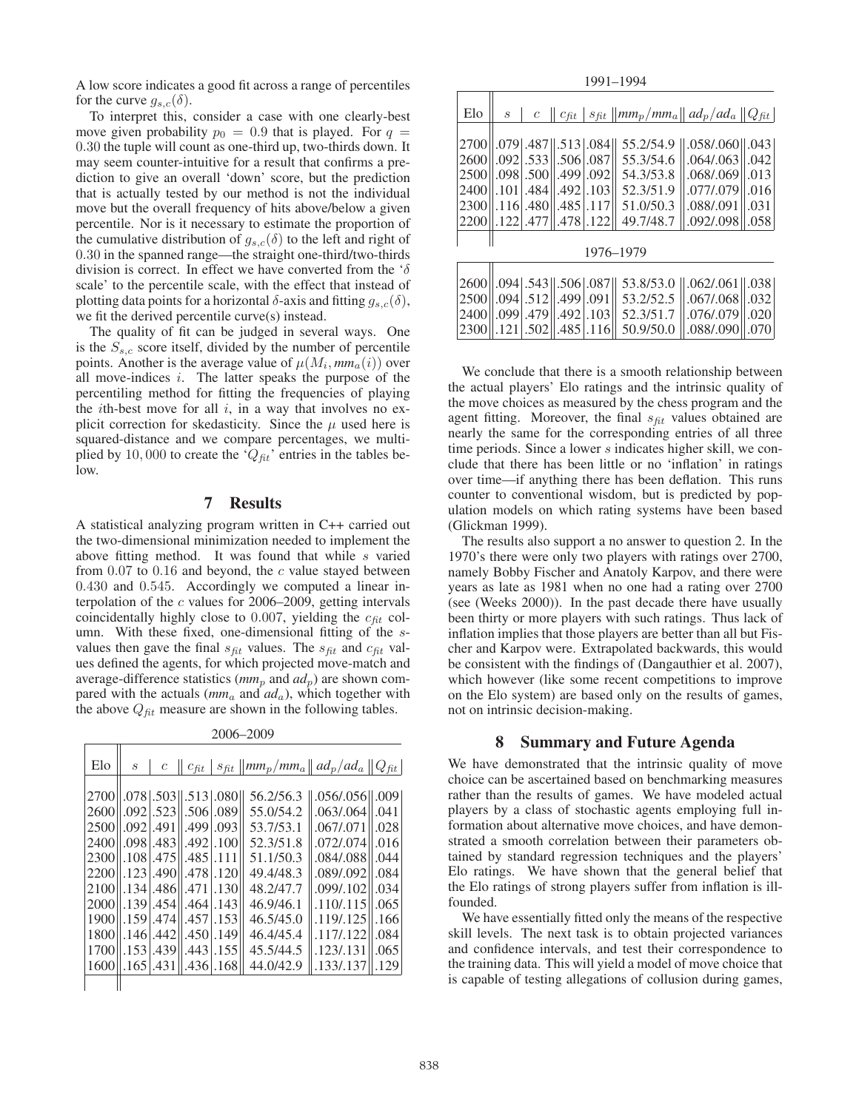A low score indicates a good fit across a range of percentiles for the curve  $g_{s,c}(\delta)$ .

To interpret this, consider a case with one clearly-best move given probability  $p_0 = 0.9$  that is played. For  $q =$ 0.30 the tuple will count as one-third up, two-thirds down. It may seem counter-intuitive for a result that confirms a prediction to give an overall 'down' score, but the prediction that is actually tested by our method is not the individual move but the overall frequency of hits above/below a given percentile. Nor is it necessary to estimate the proportion of the cumulative distribution of  $g_{s,c}(\delta)$  to the left and right of 0.30 in the spanned range—the straight one-third/two-thirds division is correct. In effect we have converted from the ' $\delta$ scale' to the percentile scale, with the effect that instead of plotting data points for a horizontal  $\delta$ -axis and fitting  $g_{s,c}(\delta)$ , we fit the derived percentile curve(s) instead.

The quality of fit can be judged in several ways. One is the  $S_{s,c}$  score itself, divided by the number of percentile points. Another is the average value of  $\mu(M_i, m m_a(i))$  over all move-indices i. The latter speaks the purpose of the percentiling method for fitting the frequencies of playing the *i*th-best move for all  $i$ , in a way that involves no explicit correction for skedasticity. Since the  $\mu$  used here is squared-distance and we compare percentages, we multiplied by 10,000 to create the ' $Q_{fit}$ ' entries in the tables below.

#### 7 Results

A statistical analyzing program written in C++ carried out the two-dimensional minimization needed to implement the above fitting method. It was found that while s varied from  $0.07$  to  $0.16$  and beyond, the c value stayed between 0.430 and 0.545. Accordingly we computed a linear interpolation of the  $c$  values for 2006–2009, getting intervals coincidentally highly close to 0.007, yielding the  $c_{fit}$  column. With these fixed, one-dimensional fitting of the svalues then gave the final  $s_{fit}$  values. The  $s_{fit}$  and  $c_{fit}$  values defined the agents, for which projected move-match and average-difference statistics ( $mm_p$  and  $ad_p$ ) are shown compared with the actuals ( $mm_a$  and  $ad_a$ ), which together with the above  $Q_{fit}$  measure are shown in the following tables.

2006–2009

| Elo  | $\mathcal{S}$ |                 |                                                     |      | $c \parallel c_{fit} \parallel s_{fit} \parallel m m_p / m m_a \parallel ad_p / ad_a \parallel Q_{fit} \parallel$ |                |      |
|------|---------------|-----------------|-----------------------------------------------------|------|-------------------------------------------------------------------------------------------------------------------|----------------|------|
|      |               |                 |                                                     |      |                                                                                                                   |                |      |
| 2700 |               |                 | $.078$ $.503$ $\parallel$ $.513$ $.080$ $\parallel$ |      | 56.2/56.3                                                                                                         | .056/.056 .009 |      |
| 2600 |               |                 | $.092$ . 523. 506. 089                              |      | 55.0/54.2                                                                                                         | .063/064       | .041 |
| 2500 |               |                 | $.092$ $.491$ $.499$ $.093$                         |      | 53.7/53.1                                                                                                         | .067/.071      | .028 |
| 2400 | .098          |                 | .483 .492 .100                                      |      | 52.3/51.8                                                                                                         | .072/.074      | .016 |
| 2300 |               |                 | $.108$ , $.475$ , $.485$ , $.111$                   |      | 51.1/50.3                                                                                                         | .084/.088      | .044 |
| 2200 |               |                 | $.123$ , 490 $.478$ , 120                           |      | 49.4/48.3                                                                                                         | .089/.092      | .084 |
| 2100 |               | .134 .486 .471  |                                                     | .130 | 48.2/47.7                                                                                                         | .099/0.102     | .034 |
| 2000 |               |                 | .139.454.1464.143                                   |      | 46.9/46.1                                                                                                         | .110/.115      | .065 |
| 1900 |               | $.159$ $.474$   | $.457$ $.153$                                       |      | 46.5/45.0                                                                                                         | .119/.125      | .166 |
| 1800 |               | $.146$ , $.442$ | $.450$ .149                                         |      | 46.4/45.4                                                                                                         | .117/.122      | .084 |
| 1700 |               |                 | .153.439.443.155                                    |      | 45.5/44.5                                                                                                         | .123/.131      | .065 |
| 1600 |               | $.165$ .431     | .436.168                                            |      | 44.0/42.9                                                                                                         | .133/.137      | .129 |
|      |               |                 |                                                     |      |                                                                                                                   |                |      |

| 1991-1994                   |               |                                                           |                            |  |                                                                                                                   |                                            |                    |  |  |  |  |  |
|-----------------------------|---------------|-----------------------------------------------------------|----------------------------|--|-------------------------------------------------------------------------------------------------------------------|--------------------------------------------|--------------------|--|--|--|--|--|
| Elo                         | $\mathcal{S}$ |                                                           |                            |  | $c \parallel c_{fit} \parallel s_{fit} \parallel m m_p / m m_a \parallel ad_p / ad_a \parallel Q_{fit} \parallel$ |                                            |                    |  |  |  |  |  |
| 2600                        |               | 2700 .079 .487 .513 .084<br>1.0921.53311.5061.087         |                            |  | 55.2/54.9<br>55.3/54.6                                                                                            | $0.058/0.060$ $0.043$<br>$.064/063$ $.042$ |                    |  |  |  |  |  |
| 2500<br>2400                |               | 0.0981.5001<br>$ .101$ $ .484 $                           | 1.4991.092<br>$.492$ , 103 |  | 54.3/53.8<br>52.3/51.9                                                                                            | $.068/069$   013<br>$.077/0.079$ $.016$    |                    |  |  |  |  |  |
|                             |               | 2300 .116 .480                                            | .485.117<br>$1.478$ , 122  |  | 51.0/50.3<br>49.7/48.7                                                                                            | .088/.091<br>.092/.098                     | .031<br>.058       |  |  |  |  |  |
| 2200 .122 .477<br>1976–1979 |               |                                                           |                            |  |                                                                                                                   |                                            |                    |  |  |  |  |  |
| 2600                        |               | $.094$ .543 $\parallel$ .506 $\parallel$ .087 $\parallel$ |                            |  | 53.8/53.0 .062/.061 .038                                                                                          |                                            |                    |  |  |  |  |  |
|                             |               | 2500   .094   .512   .499   .091                          |                            |  | 53.2/52.5                                                                                                         | 0.067/0.068                                | $\vert .032 \vert$ |  |  |  |  |  |

We conclude that there is a smooth relationship between the actual players' Elo ratings and the intrinsic quality of the move choices as measured by the chess program and the agent fitting. Moreover, the final  $s_{fit}$  values obtained are nearly the same for the corresponding entries of all three time periods. Since a lower s indicates higher skill, we conclude that there has been little or no 'inflation' in ratings over time—if anything there has been deflation. This runs counter to conventional wisdom, but is predicted by population models on which rating systems have been based (Glickman 1999).

2400 .099 .479 .492 .103 52.3/51.7 .076/.079 .020 2300 .121 .502 .485 .116 .50.9/50.0 .088/.090 .070

The results also support a no answer to question 2. In the 1970's there were only two players with ratings over 2700, namely Bobby Fischer and Anatoly Karpov, and there were years as late as 1981 when no one had a rating over 2700 (see (Weeks 2000)). In the past decade there have usually been thirty or more players with such ratings. Thus lack of inflation implies that those players are better than all but Fischer and Karpov were. Extrapolated backwards, this would be consistent with the findings of (Dangauthier et al. 2007), which however (like some recent competitions to improve on the Elo system) are based only on the results of games, not on intrinsic decision-making.

#### 8 Summary and Future Agenda

We have demonstrated that the intrinsic quality of move choice can be ascertained based on benchmarking measures rather than the results of games. We have modeled actual players by a class of stochastic agents employing full information about alternative move choices, and have demonstrated a smooth correlation between their parameters obtained by standard regression techniques and the players' Elo ratings. We have shown that the general belief that the Elo ratings of strong players suffer from inflation is illfounded.

We have essentially fitted only the means of the respective skill levels. The next task is to obtain projected variances and confidence intervals, and test their correspondence to the training data. This will yield a model of move choice that is capable of testing allegations of collusion during games,